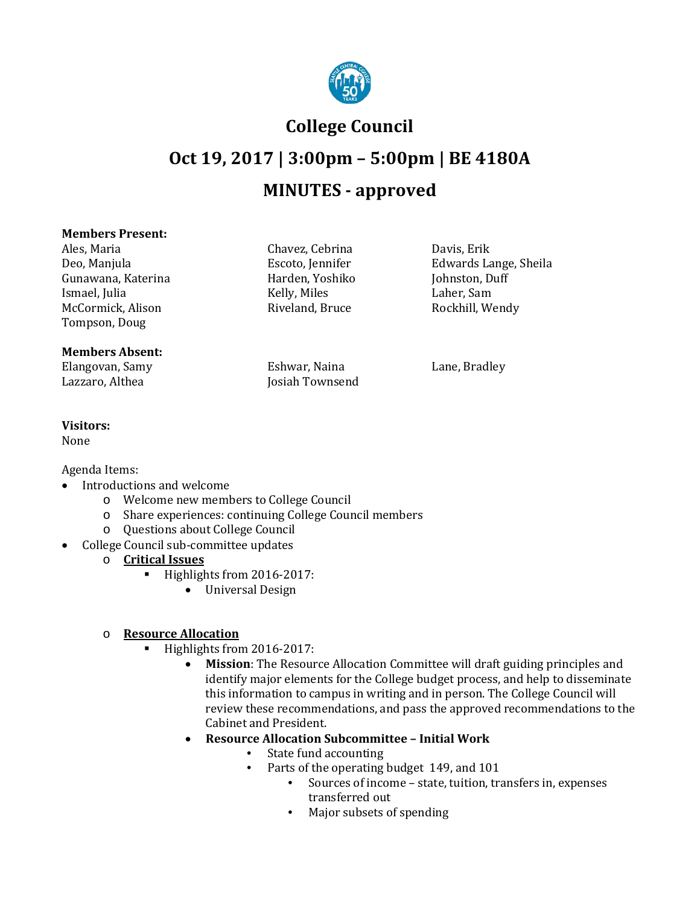

## **College Council**

# **Oct 19, 2017 | 3:00pm – 5:00pm | BE 4180A MINUTES - approved**

#### **Members Present:**

Ales, Maria Chavez, Cebrina Davis, Erik Gunawana, Katerina Harden, Yoshiko Johnston, Duff Ismael, Julia (a.g. 1986) (a.g. 1986) Kelly, Miles (a.g. 1986) Laher, Sam McCormick, Alison Riveland, Bruce Rockhill, Wendy Tompson, Doug

#### **Members Absent:**

Elangovan, Samy Eshwar, Naina Lane, Bradley

Josiah Townsend

Escoto, Jennifer Edwards Lange, Sheila<br>Harden, Yoshiko (Johnston, Duff

#### **Visitors:**

None

Agenda Items:

- Introductions and welcome
	- o Welcome new members to College Council
	- o Share experiences: continuing College Council members
	- o Questions about College Council
	- College Council sub-committee updates
		- o **Critical Issues** 
			- Highlights from 2016-2017:
				- Universal Design

### o **Resource Allocation**

- Highlights from 2016-2017:
	- **Mission**: The Resource Allocation Committee will draft guiding principles and identify major elements for the College budget process, and help to disseminate this information to campus in writing and in person. The College Council will review these recommendations, and pass the approved recommendations to the Cabinet and President.
	- **Resource Allocation Subcommittee – Initial Work** 
		- State fund accounting<br>• Parts of the operating
			- Parts of the operating budget 149, and 101
				- Sources of income state, tuition, transfers in, expenses transferred out
				- Major subsets of spending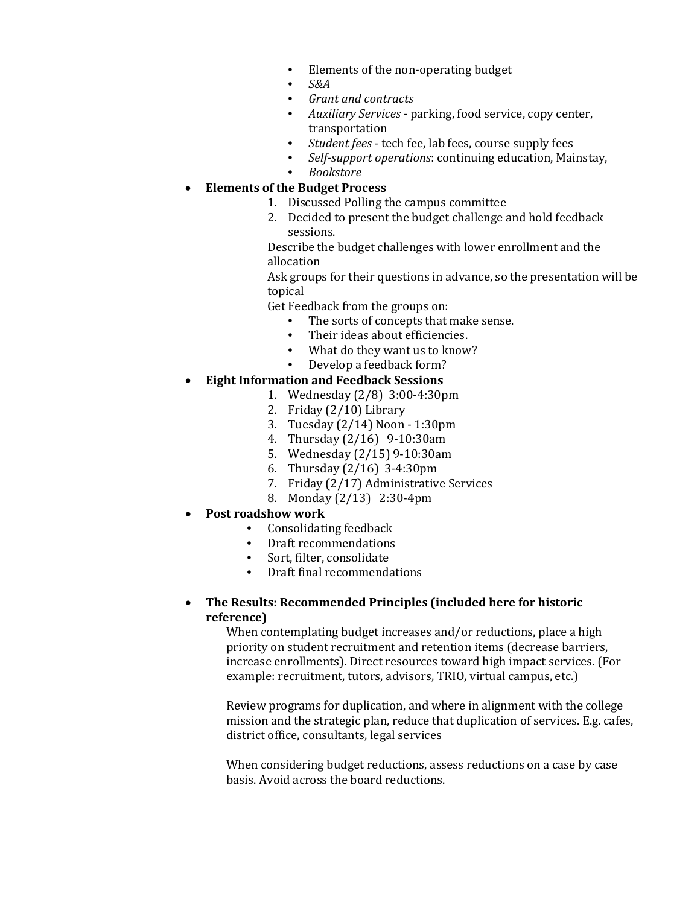- Elements of the non-operating budget<br>• S&4
- *S&A*
- *Grant and contracts*
- *Auxiliary Services -* parking, food service, copy center, transportation
- *Student fees*  tech fee, lab fees, course supply fees
- *Self-support operations*: continuing education, Mainstay,
- *Bookstore*

#### • **Elements of the Budget Process**

- 1. Discussed Polling the campus committee
- 2. Decided to present the budget challenge and hold feedback sessions.

Describe the budget challenges with lower enrollment and the allocation

Ask groups for their questions in advance, so the presentation will be topical

Get Feedback from the groups on:

- The sorts of concepts that make sense.
- Their ideas about efficiencies.
- What do they want us to know?<br>• Develop a feedback form?
- Develop a feedback form?

### • **Eight Information and Feedback Sessions**

- 1. Wednesday (2/8) 3:00-4:30pm
- 2. Friday (2/10) Library
- 3. Tuesday (2/14) Noon 1:30pm
- 4. Thursday (2/16) 9-10:30am
- 5. Wednesday (2/15) 9-10:30am
- 6. Thursday (2/16) 3-4:30pm
- 7. Friday (2/17) Administrative Services
- 8. Monday (2/13) 2:30-4pm
- **Post roadshow work**
	- Consolidating feedback
	- Draft recommendations
	- Sort, filter, consolidate<br>• Draft final recommend:
	- Draft final recommendations

#### • **The Results: Recommended Principles (included here for historic reference)**

When contemplating budget increases and/or reductions, place a high priority on student recruitment and retention items (decrease barriers, increase enrollments). Direct resources toward high impact services. (For example: recruitment, tutors, advisors, TRIO, virtual campus, etc.)

Review programs for duplication, and where in alignment with the college mission and the strategic plan, reduce that duplication of services. E.g. cafes, district office, consultants, legal services

When considering budget reductions, assess reductions on a case by case basis. Avoid across the board reductions.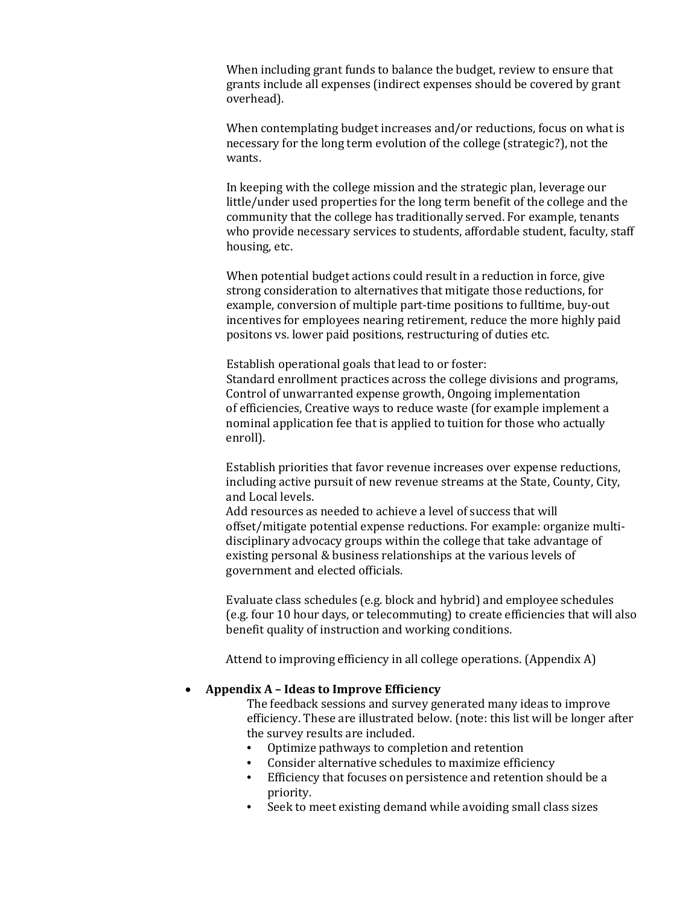When including grant funds to balance the budget, review to ensure that grants include all expenses (indirect expenses should be covered by grant overhead).

When contemplating budget increases and/or reductions, focus on what is necessary for the long term evolution of the college (strategic?), not the wants.

In keeping with the college mission and the strategic plan, leverage our little/under used properties for the long term benefit of the college and the community that the college has traditionally served. For example, tenants who provide necessary services to students, affordable student, faculty, staff housing, etc.

When potential budget actions could result in a reduction in force, give strong consideration to alternatives that mitigate those reductions, for example, conversion of multiple part-time positions to fulltime, buy-out incentives for employees nearing retirement, reduce the more highly paid positons vs. lower paid positions, restructuring of duties etc.

Establish operational goals that lead to or foster: Standard enrollment practices across the college divisions and programs, Control of unwarranted expense growth, Ongoing implementation of efficiencies, Creative ways to reduce waste (for example implement a nominal application fee that is applied to tuition for those who actually enroll).

Establish priorities that favor revenue increases over expense reductions, including active pursuit of new revenue streams at the State, County, City, and Local levels.

Add resources as needed to achieve a level of success that will offset/mitigate potential expense reductions. For example: organize multidisciplinary advocacy groups within the college that take advantage of existing personal & business relationships at the various levels of government and elected officials.

Evaluate class schedules (e.g. block and hybrid) and employee schedules (e.g. four 10 hour days, or telecommuting) to create efficiencies that will also benefit quality of instruction and working conditions.

Attend to improving efficiency in all college operations. (Appendix A)

#### • **Appendix A – Ideas to Improve Efficiency**

The feedback sessions and survey generated many ideas to improve efficiency. These are illustrated below. (note: this list will be longer after the survey results are included.

- Optimize pathways to completion and retention
- Consider alternative schedules to maximize efficiency<br>• Efficiency that focuses on persistence and retention sh
- Efficiency that focuses on persistence and retention should be a priority.
- Seek to meet existing demand while avoiding small class sizes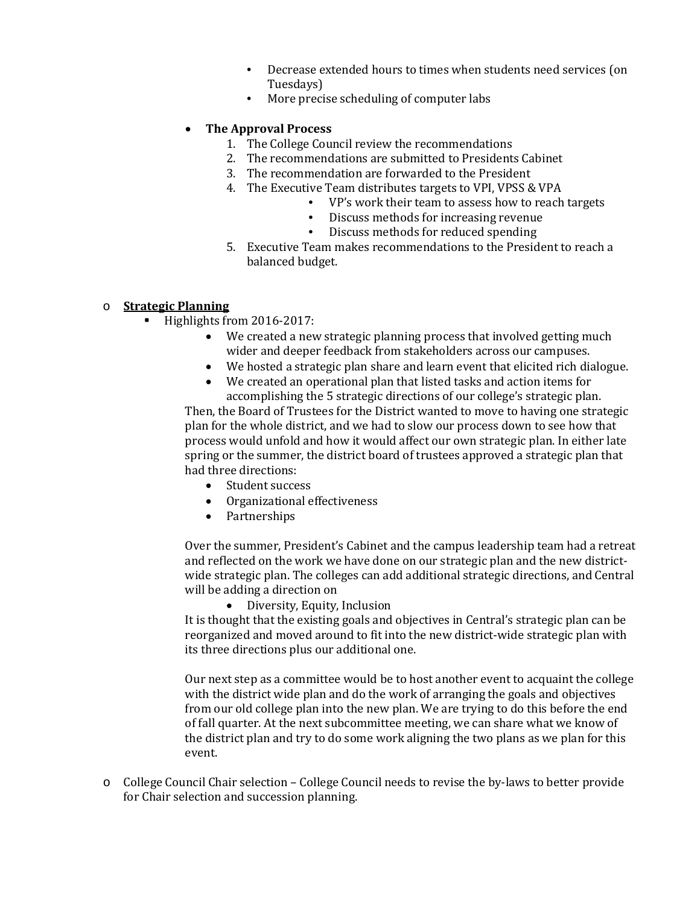- Decrease extended hours to times when students need services (on Tuesdays)
- More precise scheduling of computer labs

#### • **The Approval Process**

- 1. The College Council review the recommendations
- 2. The recommendations are submitted to Presidents Cabinet
- 3. The recommendation are forwarded to the President
- 4. The Executive Team distributes targets to VPI, VPSS & VPA
	- VP's work their team to assess how to reach targets
	- Discuss methods for increasing revenue
	- Discuss methods for reduced spending
- 5. Executive Team makes recommendations to the President to reach a balanced budget.

#### o **Strategic Planning**

- Highlights from 2016-2017:
	- We created a new strategic planning process that involved getting much wider and deeper feedback from stakeholders across our campuses.
	- We hosted a strategic plan share and learn event that elicited rich dialogue.
	- We created an operational plan that listed tasks and action items for accomplishing the 5 strategic directions of our college's strategic plan.

Then, the Board of Trustees for the District wanted to move to having one strategic plan for the whole district, and we had to slow our process down to see how that process would unfold and how it would affect our own strategic plan. In either late spring or the summer, the district board of trustees approved a strategic plan that had three directions:

- Student success
- Organizational effectiveness
- Partnerships

Over the summer, President's Cabinet and the campus leadership team had a retreat and reflected on the work we have done on our strategic plan and the new districtwide strategic plan. The colleges can add additional strategic directions, and Central will be adding a direction on

• Diversity, Equity, Inclusion

It is thought that the existing goals and objectives in Central's strategic plan can be reorganized and moved around to fit into the new district-wide strategic plan with its three directions plus our additional one.

Our next step as a committee would be to host another event to acquaint the college with the district wide plan and do the work of arranging the goals and objectives from our old college plan into the new plan. We are trying to do this before the end of fall quarter. At the next subcommittee meeting, we can share what we know of the district plan and try to do some work aligning the two plans as we plan for this event.

o College Council Chair selection – College Council needs to revise the by-laws to better provide for Chair selection and succession planning.